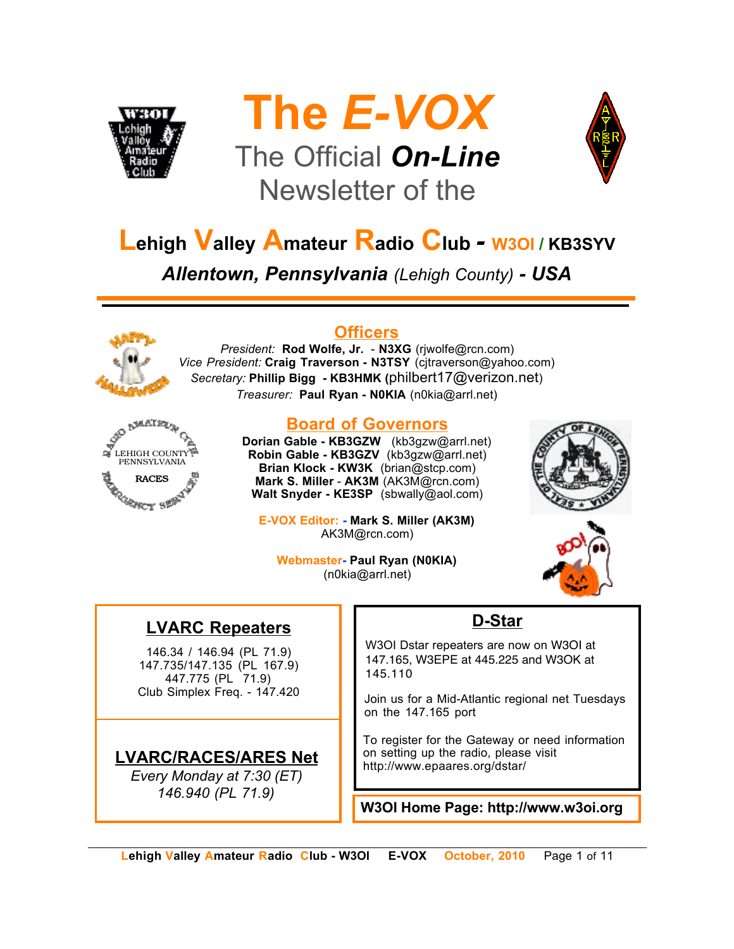





# **Lehigh Valley Amateur Radio Club** *-* **W3OI / KB3SYV**

*Allentown, Pennsylvania (Lehigh County) - USA*



## **Officers**

*President:* **Rod Wolfe, Jr.** - **N3XG** (rjwolfe@rcn.com) *Vice President:* **Craig Traverson - N3TSY** (cjtraverson@yahoo.com) *Secretary:* **Phillip Bigg - KB3HMK (**philbert17@verizon.net) *Treasurer:* **Paul Ryan - N0KIA** (n0kia@arrl.net)



### **Board of Governors**

**Dorian Gable - KB3GZW** (kb3gzw@arrl.net) **Robin Gable - KB3GZV** (kb3gzw@arrl.net) **Brian Klock - KW3K** (brian@stcp.com) **Mark S. Miller** - **AK3M** (AK3M@rcn.com) **Walt Snyder - KE3SP** (sbwally@aol.com)





**Webmaster- Paul Ryan (N0KIA)** (n0kia@arrl.net)

# **LVARC Repeaters**

146.34 / 146.94 (PL 71.9) 147.735/147.135 (PL 167.9) 447.775 (PL 71.9) Club Simplex Freq. - 147.420

## **LVARC/RACES/ARES Net**

*Every Monday at 7:30 (ET) 146.940 (PL 71.9)*

# **D-Star**

W3OI Dstar repeaters are now on W3OI at 147.165, W3EPE at 445.225 and W3OK at 145.110

Join us for a Mid-Atlantic regional net Tuesdays on the 147.165 port

To register for the Gateway or need information on setting up the radio, please visit http://www.epaares.org/dstar/

**W3OI Home Page: http://www.w3oi.org**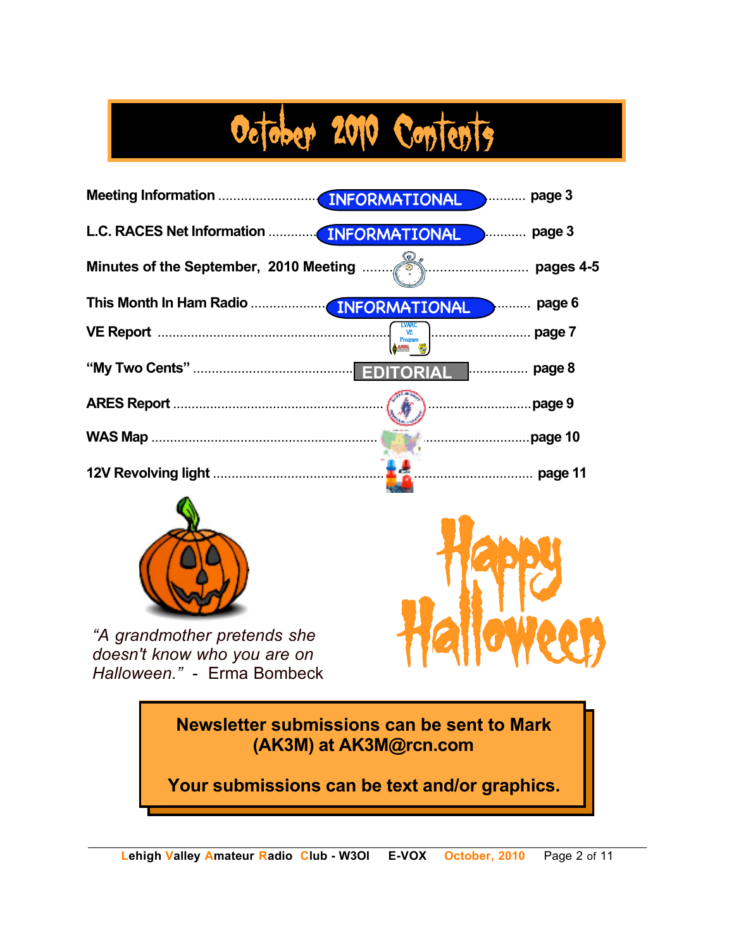# October 2010 Contents



**(AK3M) at AK3M@rcn.com**

**Your submissions can be text and/or graphics.**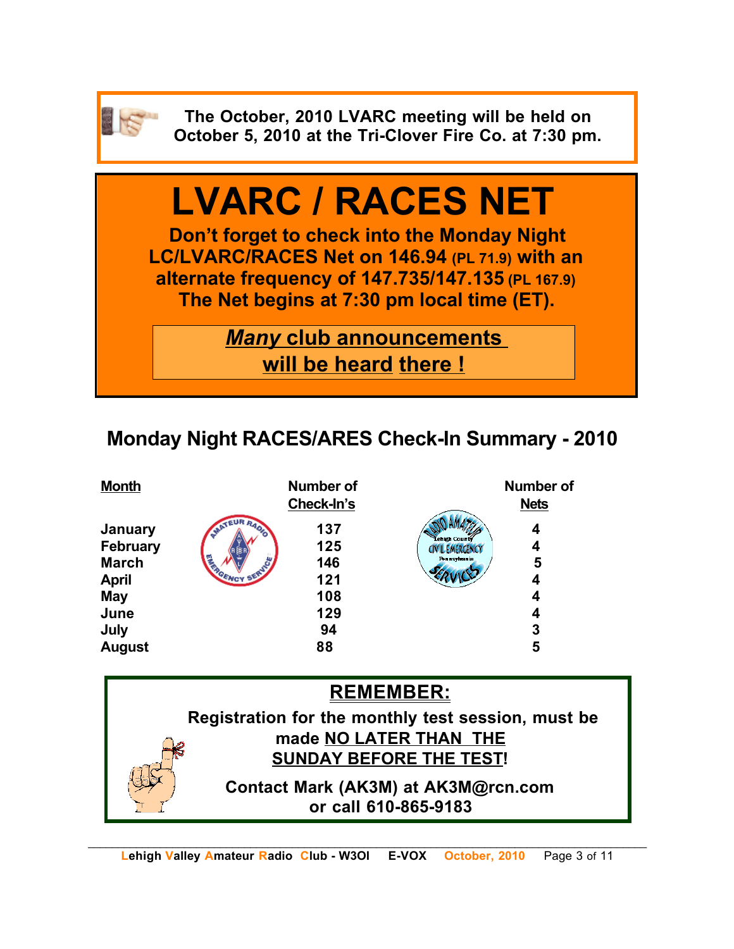

**The October, 2010 LVARC meeting will be held on October 5, 2010 at the Tri-Clover Fire Co. at 7:30 pm.**

# **LVARC / RACES NET**

**Don't forget to check into the Monday Night LC/LVARC/RACES Net on 146.94 (PL 71.9) with an alternate frequency of 147.735/147.135 (PL 167.9) The Net begins at 7:30 pm local time (ET).** 

> *Many* **club announcements will be heard there !**

# **Monday Night RACES/ARES Check-In Summary - 2010**

| <b>Month</b>                    |                               | <b>Number of</b><br>Check-In's |                                        | <b>Number of</b><br><b>Nets</b> |
|---------------------------------|-------------------------------|--------------------------------|----------------------------------------|---------------------------------|
| January                         | <b>IR RAOL</b><br><b>SAAT</b> | 137                            | Lehigh County                          | 4                               |
| <b>February</b><br><b>March</b> |                               | 125<br>146                     | CIVIL EMERGENCY<br><b>Pennsylvania</b> | 4<br>5                          |
| <b>April</b>                    |                               | 121                            |                                        | 4                               |
| <b>May</b>                      |                               | 108                            |                                        | 4                               |
| June                            |                               | 129                            |                                        | 4                               |
| July                            |                               | 94                             |                                        | 3                               |
| <b>August</b>                   |                               | 88                             |                                        | 5                               |

## **REMEMBER:**

**Registration for the monthly test session, must be made NO LATER THAN THE SUNDAY BEFORE THE TEST!** 

> **Contact Mark (AK3M) at AK3M@rcn.com or call 610-865-9183**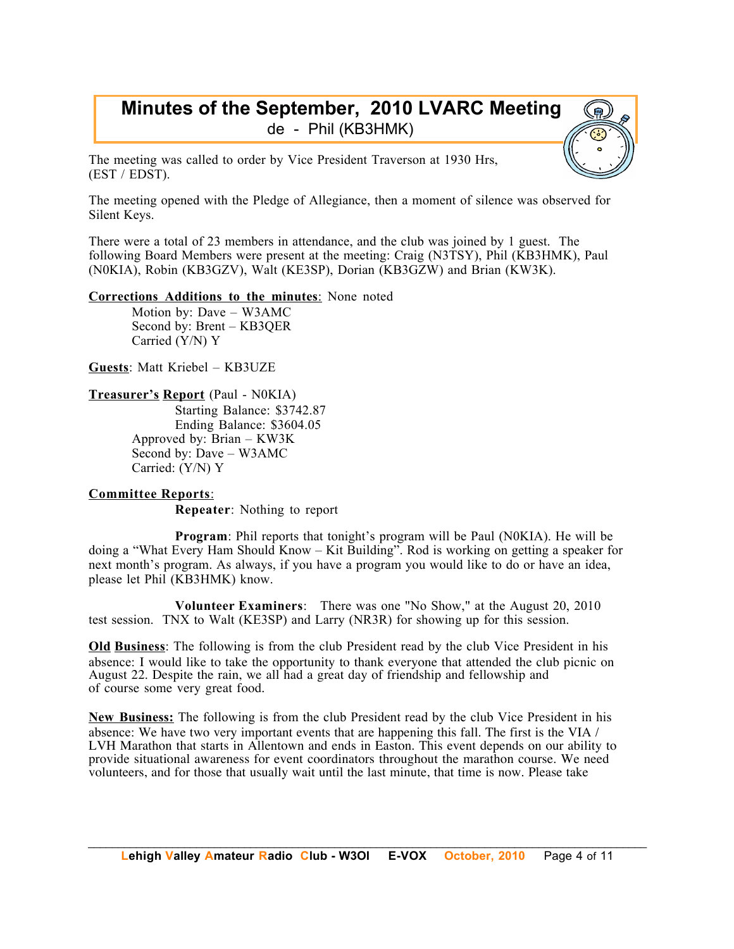## **Minutes of the September, 2010 LVARC Meeting** de - Phil (KB3HMK)

The meeting was called to order by Vice President Traverson at 1930 Hrs, (EST / EDST).

The meeting opened with the Pledge of Allegiance, then a moment of silence was observed for Silent Keys.

There were a total of 23 members in attendance, and the club was joined by 1 guest. The following Board Members were present at the meeting: Craig (N3TSY), Phil (KB3HMK), Paul (N0KIA), Robin (KB3GZV), Walt (KE3SP), Dorian (KB3GZW) and Brian (KW3K).

**Corrections Additions to the minutes**: None noted

Motion by: Dave – W3AMC Second by: Brent – KB3QER Carried (Y/N) Y

**Guests**: Matt Kriebel – KB3UZE

#### **Treasurer's Report** (Paul - N0KIA)

Starting Balance: \$3742.87 Ending Balance: \$3604.05 Approved by: Brian – KW3K Second by: Dave – W3AMC Carried: (Y/N) Y

#### **Committee Reports**:

**Repeater**: Nothing to report

**Program**: Phil reports that tonight's program will be Paul (N0KIA). He will be doing a "What Every Ham Should Know – Kit Building". Rod is working on getting a speaker for next month's program. As always, if you have a program you would like to do or have an idea, please let Phil (KB3HMK) know.

**Volunteer Examiners**: There was one "No Show," at the August 20, 2010 test session. TNX to Walt (KE3SP) and Larry (NR3R) for showing up for this session.

**Old Business**: The following is from the club President read by the club Vice President in his absence: I would like to take the opportunity to thank everyone that attended the club picnic on August 22. Despite the rain, we all had a great day of friendship and fellowship and of course some very great food.

**New Business:** The following is from the club President read by the club Vice President in his absence: We have two very important events that are happening this fall. The first is the VIA / LVH Marathon that starts in Allentown and ends in Easton. This event depends on our ability to provide situational awareness for event coordinators throughout the marathon course. We need volunteers, and for those that usually wait until the last minute, that time is now. Please take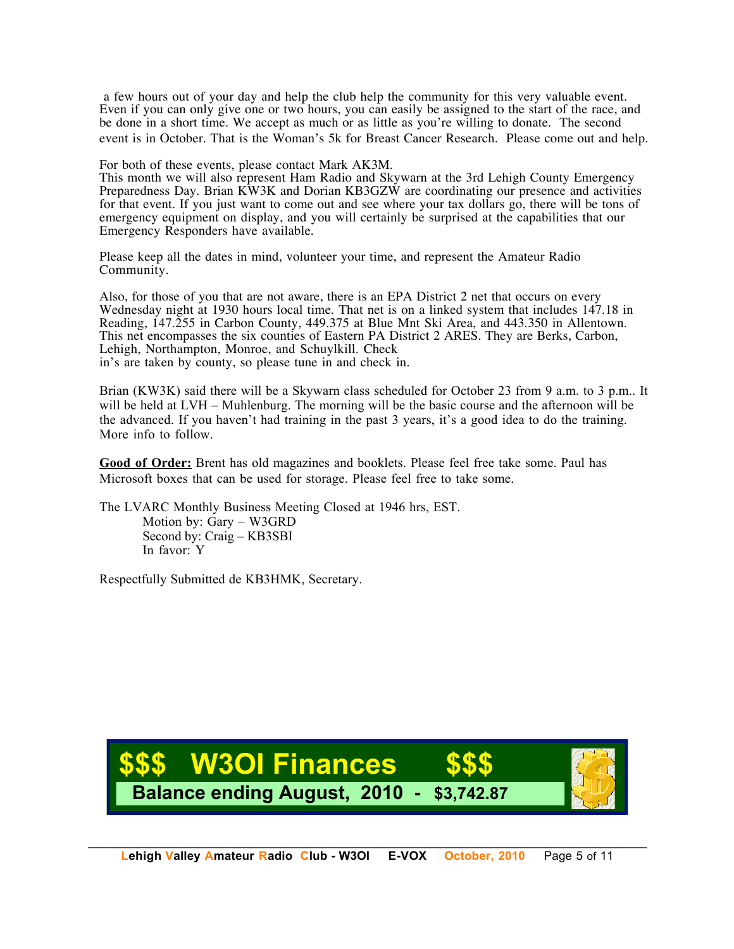a few hours out of your day and help the club help the community for this very valuable event. Even if you can only give one or two hours, you can easily be assigned to the start of the race, and be done in a short time. We accept as much or as little as you're willing to donate. The second event is in October. That is the Woman's 5k for Breast Cancer Research. Please come out and help.

For both of these events, please contact Mark AK3M.

This month we will also represent Ham Radio and Skywarn at the 3rd Lehigh County Emergency Preparedness Day. Brian KW3K and Dorian KB3GZW are coordinating our presence and activities for that event. If you just want to come out and see where your tax dollars go, there will be tons of emergency equipment on display, and you will certainly be surprised at the capabilities that our Emergency Responders have available.

Please keep all the dates in mind, volunteer your time, and represent the Amateur Radio Community.

Also, for those of you that are not aware, there is an EPA District 2 net that occurs on every Wednesday night at 1930 hours local time. That net is on a linked system that includes 147.18 in Reading, 147.255 in Carbon County, 449.375 at Blue Mnt Ski Area, and 443.350 in Allentown. This net encompasses the six counties of Eastern PA District 2 ARES. They are Berks, Carbon, Lehigh, Northampton, Monroe, and Schuylkill. Check in's are taken by county, so please tune in and check in.

Brian (KW3K) said there will be a Skywarn class scheduled for October 23 from 9 a.m. to 3 p.m.. It will be held at LVH – Muhlenburg. The morning will be the basic course and the afternoon will be the advanced. If you haven't had training in the past 3 years, it's a good idea to do the training. More info to follow.

**Good of Order:** Brent has old magazines and booklets. Please feel free take some. Paul has Microsoft boxes that can be used for storage. Please feel free to take some.

The LVARC Monthly Business Meeting Closed at 1946 hrs, EST. Motion by: Gary – W3GRD Second by: Craig – KB3SBI In favor: Y

Respectfully Submitted de KB3HMK, Secretary.

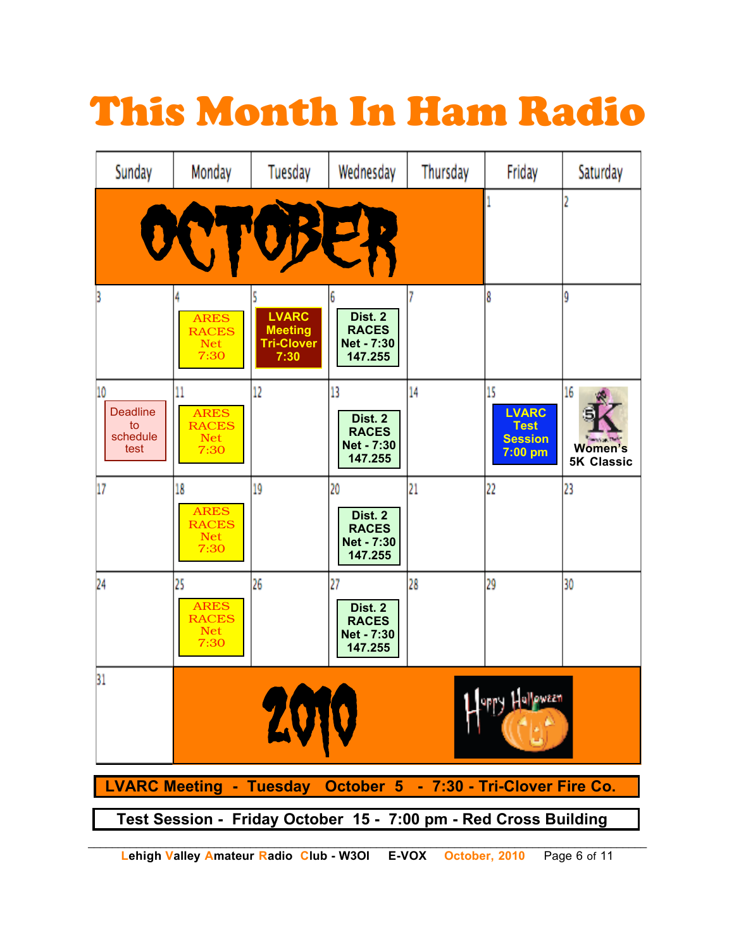# This Month In Ham Radio

| Sunday                                                          | Monday                                                  | Tuesday                                                     | Wednesday                                                     | Thursday | Friday                                                         | Saturday                                                   |  |  |  |
|-----------------------------------------------------------------|---------------------------------------------------------|-------------------------------------------------------------|---------------------------------------------------------------|----------|----------------------------------------------------------------|------------------------------------------------------------|--|--|--|
|                                                                 |                                                         |                                                             |                                                               |          | 1                                                              | 2                                                          |  |  |  |
|                                                                 | <b>ARES</b><br><b>RACES</b><br><b>Net</b><br>7:30       | <b>LVARC</b><br><b>Meeting</b><br><b>Tri-Clover</b><br>7:30 | 6<br>Dist. 2<br><b>RACES</b><br>Net - 7:30<br>147.255         |          | 8                                                              | ŷ                                                          |  |  |  |
| 10<br><b>Deadline</b><br>to<br>schedule<br>test                 | 11<br><b>ARES</b><br><b>RACES</b><br><b>Net</b><br>7:30 | 12                                                          | 13<br>Dist. 2<br><b>RACES</b><br><b>Net - 7:30</b><br>147.255 | 14       | 15<br><b>LVARC</b><br><b>Test</b><br><b>Session</b><br>7:00 pm | 16<br><b>Service Tells</b><br>Women's<br><b>5K Classic</b> |  |  |  |
| 17                                                              | 18<br><b>ARES</b><br><b>RACES</b><br><b>Net</b><br>7:30 | 19                                                          | 20<br>Dist. 2<br><b>RACES</b><br><b>Net - 7:30</b><br>147.255 | 21       | 22                                                             | 23                                                         |  |  |  |
| 24                                                              | 25<br><b>ARES</b><br><b>RACES</b><br><b>Net</b><br>7:30 | 26                                                          | 27<br>Dist. 2<br><b>RACES</b><br><b>Net - 7:30</b><br>147.255 | 28       | 29                                                             | 30                                                         |  |  |  |
| 31<br><b>Lalleween</b><br>20                                    |                                                         |                                                             |                                                               |          |                                                                |                                                            |  |  |  |
| LVARC Meeting - Tuesday October 5 - 7:30 - Tri-Clover Fire Co.  |                                                         |                                                             |                                                               |          |                                                                |                                                            |  |  |  |
| Test Session - Friday October 15 - 7:00 pm - Red Cross Building |                                                         |                                                             |                                                               |          |                                                                |                                                            |  |  |  |

**Lehigh Valley Amateur Radio Club - W3OI E-VOX October, 2010** Page 6 of 11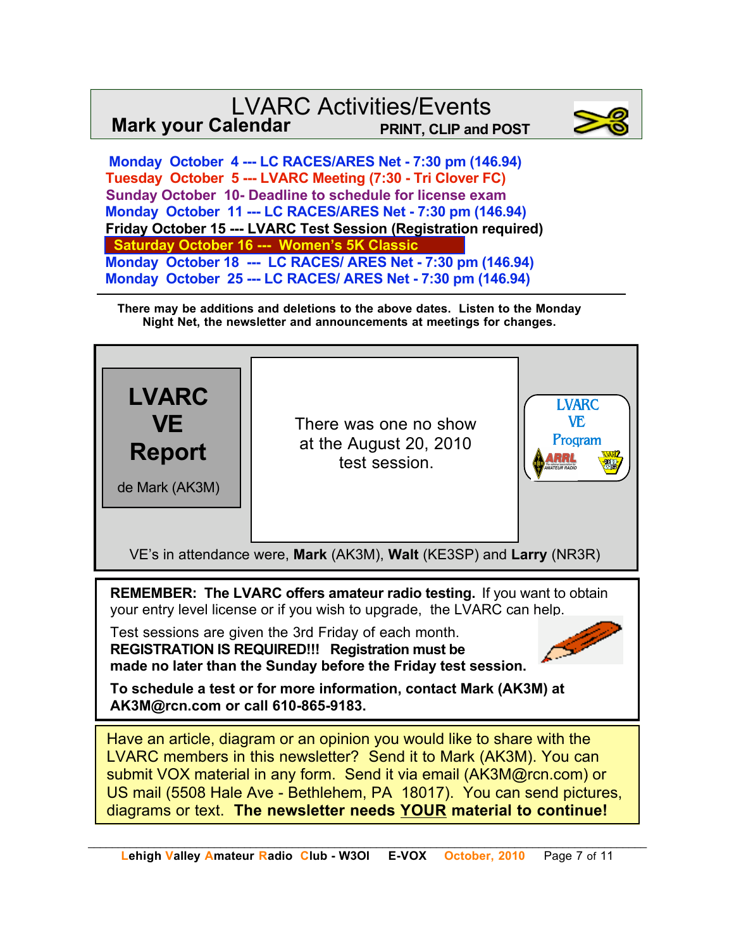# LVARC Activities/Events **Mark your Calendar PRINT, CLIP and POST**



 **Monday October 4 --- LC RACES/ARES Net - 7:30 pm (146.94) Tuesday October 5 --- LVARC Meeting (7:30 - Tri Clover FC) Sunday October 10- Deadline to schedule for license exam Monday October 11 --- LC RACES/ARES Net - 7:30 pm (146.94) Friday October 15 --- LVARC Test Session (Registration required) Saturday October 16 --- Women's 5K C Monday October 18 --- LC RACES/ ARES Net - 7:30 pm (146.94) Monday October 25 --- LC RACES/ ARES Net - 7:30 pm (146.94)**

**There may be additions and deletions to the above dates. Listen to the Monday Night Net, the newsletter and announcements at meetings for changes.**



Have an article, diagram or an opinion you would like to share with the LVARC members in this newsletter? Send it to Mark (AK3M). You can submit VOX material in any form. Send it via email (AK3M@rcn.com) or US mail (5508 Hale Ave - Bethlehem, PA 18017). You can send pictures, diagrams or text. **The newsletter needs YOUR material to continue!**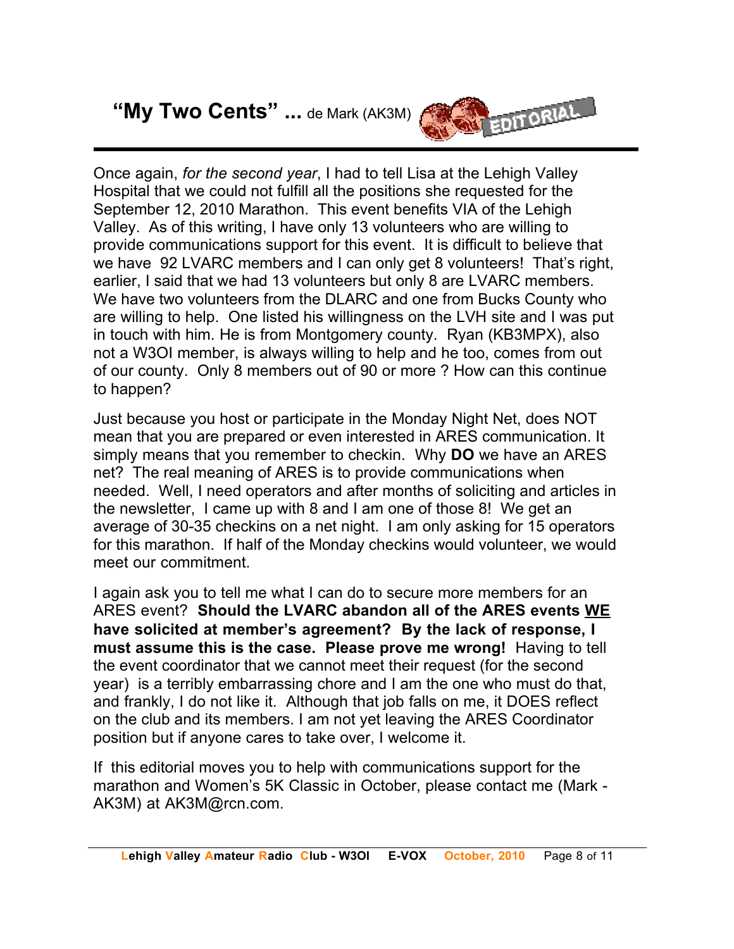# **"My Two Cents" ...** de Mark (AK3M)



Once again, *for the second year*, I had to tell Lisa at the Lehigh Valley Hospital that we could not fulfill all the positions she requested for the September 12, 2010 Marathon. This event benefits VIA of the Lehigh Valley. As of this writing, I have only 13 volunteers who are willing to provide communications support for this event. It is difficult to believe that we have 92 LVARC members and I can only get 8 volunteers! That's right, earlier, I said that we had 13 volunteers but only 8 are LVARC members. We have two volunteers from the DLARC and one from Bucks County who are willing to help. One listed his willingness on the LVH site and I was put in touch with him. He is from Montgomery county. Ryan (KB3MPX), also not a W3OI member, is always willing to help and he too, comes from out of our county. Only 8 members out of 90 or more ? How can this continue to happen?

Just because you host or participate in the Monday Night Net, does NOT mean that you are prepared or even interested in ARES communication. It simply means that you remember to checkin. Why **DO** we have an ARES net? The real meaning of ARES is to provide communications when needed. Well, I need operators and after months of soliciting and articles in the newsletter, I came up with 8 and I am one of those 8! We get an average of 30-35 checkins on a net night. I am only asking for 15 operators for this marathon. If half of the Monday checkins would volunteer, we would meet our commitment.

I again ask you to tell me what I can do to secure more members for an ARES event? **Should the LVARC abandon all of the ARES events WE have solicited at member's agreement? By the lack of response, I must assume this is the case. Please prove me wrong!** Having to tell the event coordinator that we cannot meet their request (for the second year) is a terribly embarrassing chore and I am the one who must do that, and frankly, I do not like it. Although that job falls on me, it DOES reflect on the club and its members. I am not yet leaving the ARES Coordinator position but if anyone cares to take over, I welcome it.

If this editorial moves you to help with communications support for the marathon and Women's 5K Classic in October, please contact me (Mark - AK3M) at AK3M@rcn.com.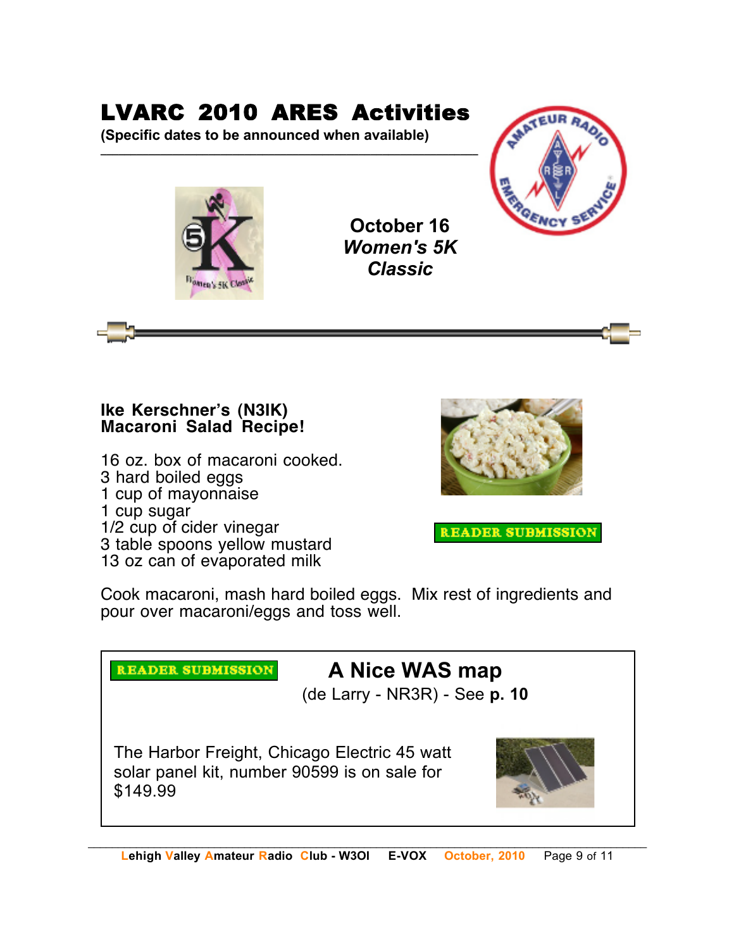# LVARC 2010 ARES Activities

**\_\_\_\_\_\_\_\_\_\_\_\_\_\_\_\_\_\_\_\_\_\_\_\_\_\_\_\_\_\_\_\_\_\_\_\_\_\_\_\_\_\_\_\_\_\_\_\_\_\_\_\_\_\_\_\_\_\_\_\_\_\_\_**

**(Specific dates to be announced when available)**



**October 16** *Women's 5K Classic*



### **Ike Kerschner!s (N3IK) Macaroni Salad Recipe!**

16 oz. box of macaroni cooked. 3 hard boiled eggs 1 cup of mayonnaise 1 cup sugar 1/2 cup of cider vinegar

3 table spoons yellow mustard

13 oz can of evaporated milk

**READER SUBMISSION** 



**READER SUBMISSION** 

Cook macaroni, mash hard boiled eggs. Mix rest of ingredients and pour over macaroni/eggs and toss well.

# **A Nice WAS map**

(de Larry - NR3R) - See **p. 10**

The Harbor Freight, Chicago Electric 45 watt solar panel kit, number 90599 is on sale for \$149.99

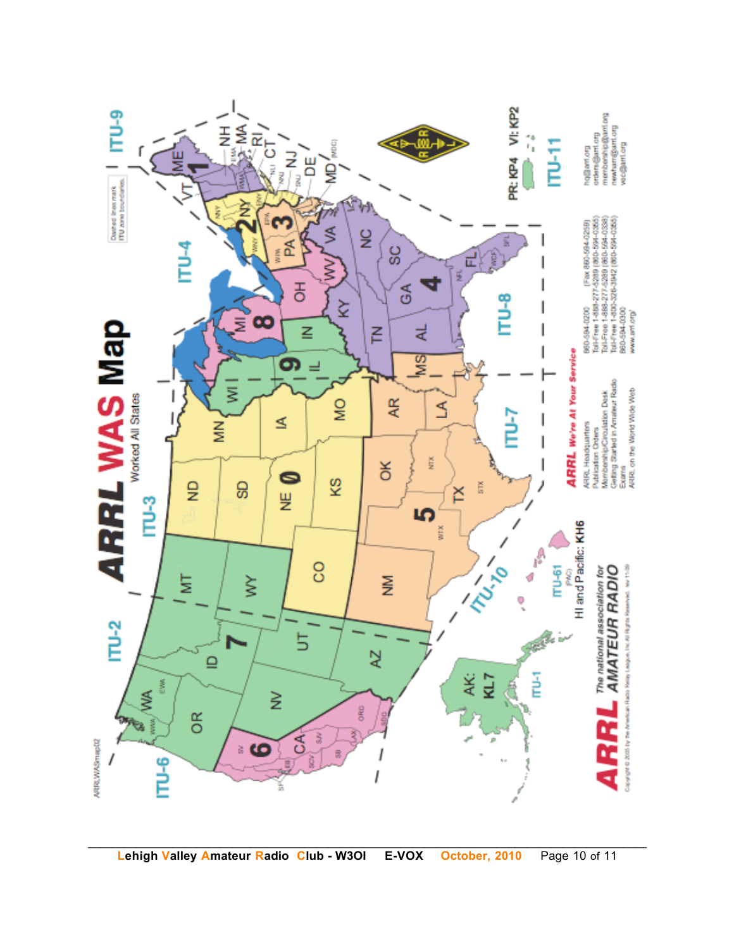